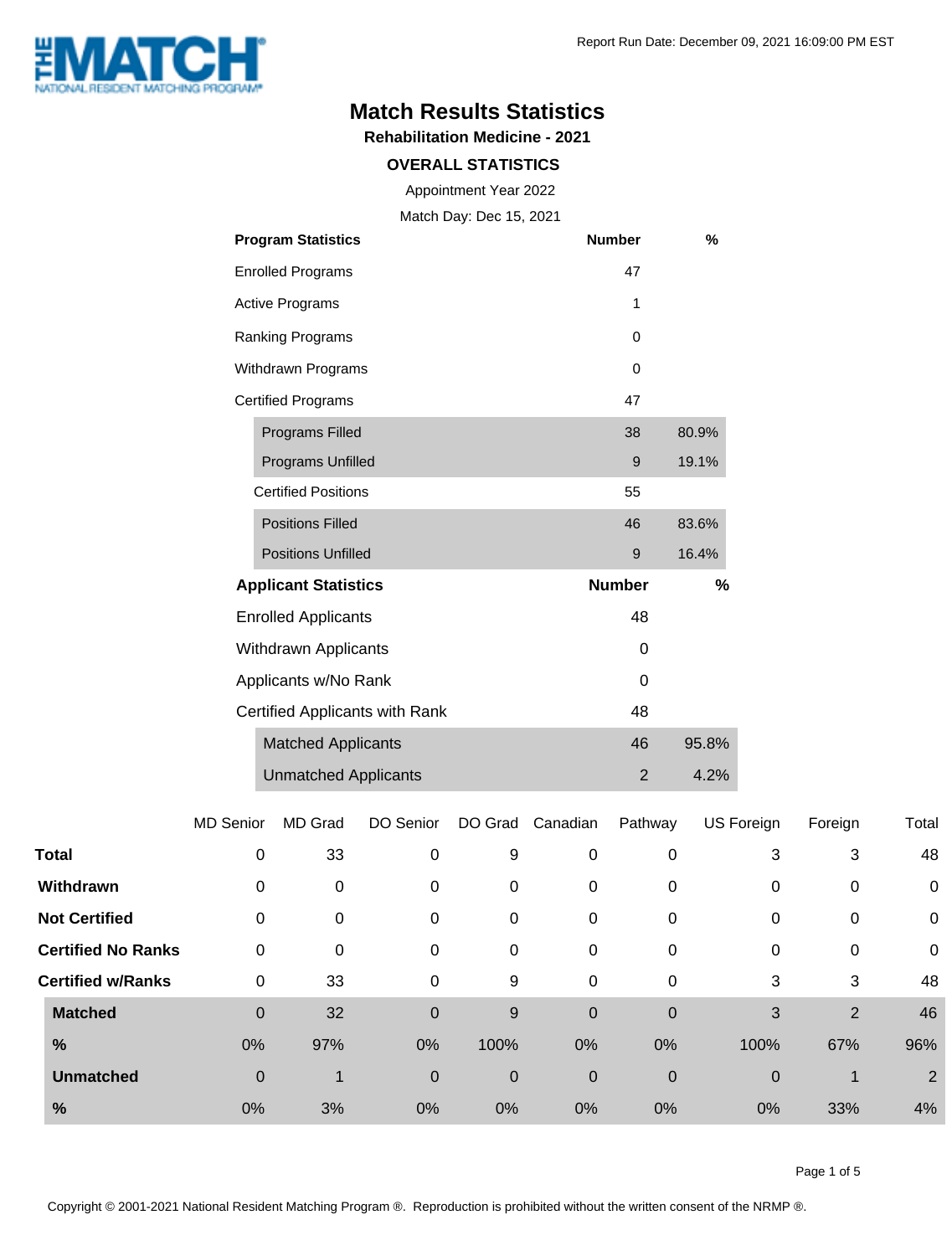

## **Match Results Statistics**

**Rehabilitation Medicine - 2021**

#### **OVERALL STATISTICS**

Appointment Year 2022

Match Day: Dec 15, 2021

|                    | <b>Program Statistics</b>      | <b>Number</b> | %     |
|--------------------|--------------------------------|---------------|-------|
|                    | <b>Enrolled Programs</b>       | 47            |       |
|                    | <b>Active Programs</b>         | 1             |       |
|                    | Ranking Programs               | 0             |       |
| Withdrawn Programs |                                | 0             |       |
|                    | <b>Certified Programs</b>      | 47            |       |
|                    | <b>Programs Filled</b>         | 38            | 80.9% |
|                    | Programs Unfilled              | 9             | 19.1% |
|                    | <b>Certified Positions</b>     | 55            |       |
|                    | <b>Positions Filled</b>        | 46            | 83.6% |
|                    | <b>Positions Unfilled</b>      | 9             | 16.4% |
|                    | <b>Applicant Statistics</b>    | <b>Number</b> | %     |
|                    | <b>Enrolled Applicants</b>     | 48            |       |
|                    | <b>Withdrawn Applicants</b>    | 0             |       |
|                    | Applicants w/No Rank           | 0             |       |
|                    | Certified Applicants with Rank | 48            |       |
|                    | <b>Matched Applicants</b>      | 46            | 95.8% |
|                    | <b>Unmatched Applicants</b>    | 2             | 4.2%  |

|                           | <b>MD Senior</b> | MD Grad | DO Senior   | DO Grad     | Canadian         | Pathway     | US Foreign | Foreign        | Total          |
|---------------------------|------------------|---------|-------------|-------------|------------------|-------------|------------|----------------|----------------|
| <b>Total</b>              | $\mathbf 0$      | 33      | 0           | 9           | 0                | 0           | 3          | 3              | 48             |
| Withdrawn                 | 0                | 0       | 0           | 0           | 0                | 0           | 0          | 0              | $\mathbf 0$    |
| <b>Not Certified</b>      | 0                | 0       | 0           | 0           | 0                | 0           | 0          | 0              | $\mathbf 0$    |
| <b>Certified No Ranks</b> | $\mathbf 0$      | 0       | 0           | 0           | 0                | 0           | 0          | 0              | 0              |
| <b>Certified w/Ranks</b>  | $\mathbf 0$      | 33      | 0           | 9           | 0                | 0           | 3          | 3              | 48             |
| <b>Matched</b>            | $\mathbf 0$      | 32      | $\mathbf 0$ | 9           | $\mathbf 0$      | $\mathbf 0$ | 3          | $\overline{2}$ | 46             |
| %                         | 0%               | 97%     | 0%          | 100%        | 0%               | 0%          | 100%       | 67%            | 96%            |
| <b>Unmatched</b>          | $\mathbf 0$      | 1       | 0           | $\mathbf 0$ | $\boldsymbol{0}$ | $\mathbf 0$ | 0          |                | $\overline{2}$ |
| %                         | 0%               | 3%      | 0%          | 0%          | 0%               | 0%          | 0%         | 33%            | 4%             |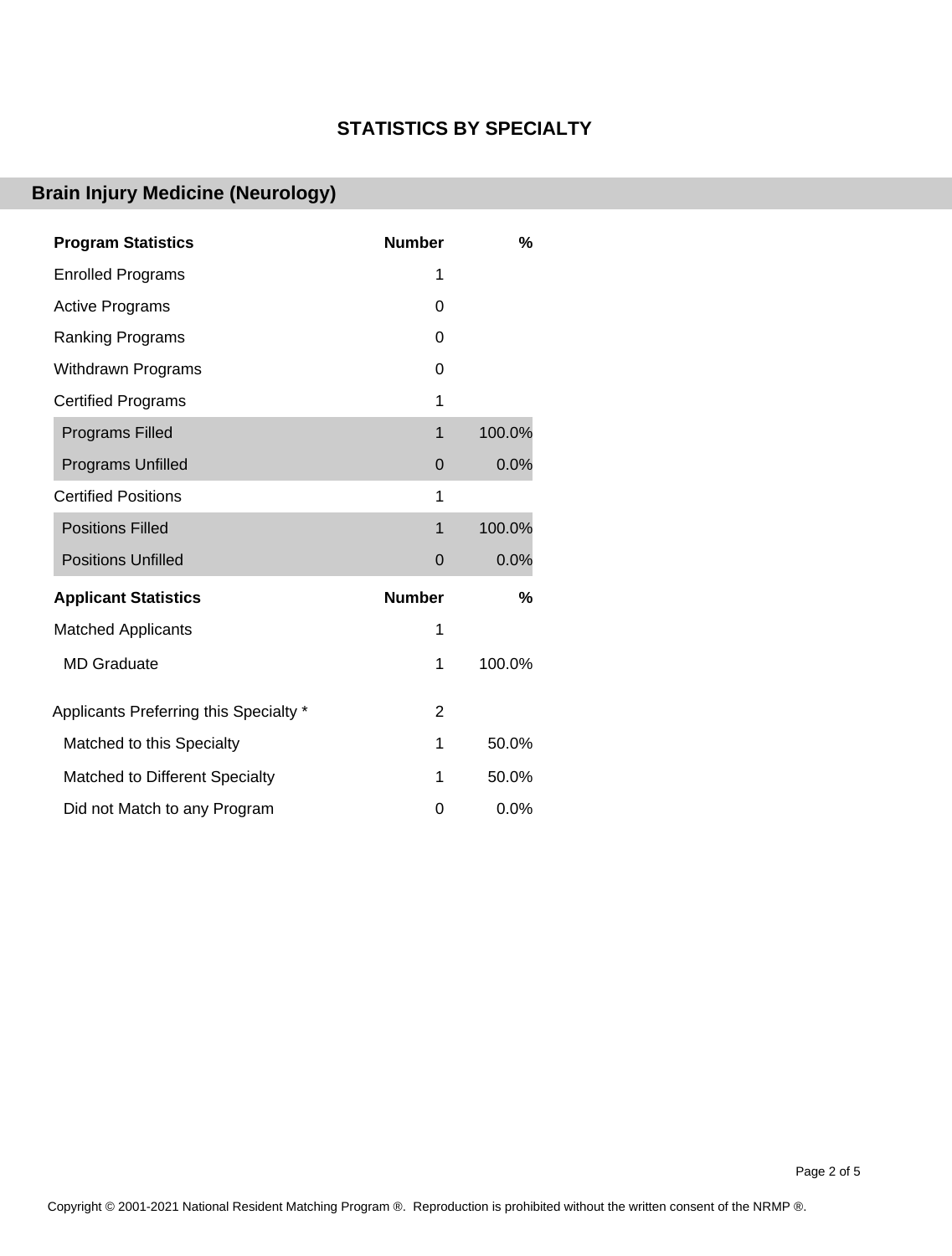#### **STATISTICS BY SPECIALTY**

## **Brain Injury Medicine (Neurology)**

| <b>Program Statistics</b>              | <b>Number</b>  | %      |
|----------------------------------------|----------------|--------|
| <b>Enrolled Programs</b>               | 1              |        |
| <b>Active Programs</b>                 | 0              |        |
| Ranking Programs                       | 0              |        |
| <b>Withdrawn Programs</b>              | 0              |        |
| <b>Certified Programs</b>              | 1              |        |
| <b>Programs Filled</b>                 | 1              | 100.0% |
| <b>Programs Unfilled</b>               | $\mathbf 0$    | 0.0%   |
| <b>Certified Positions</b>             | 1              |        |
| <b>Positions Filled</b>                | $\mathbf 1$    | 100.0% |
| <b>Positions Unfilled</b>              | $\mathbf 0$    | 0.0%   |
| <b>Applicant Statistics</b>            | <b>Number</b>  | %      |
| <b>Matched Applicants</b>              | 1              |        |
| <b>MD</b> Graduate                     | 1              | 100.0% |
| Applicants Preferring this Specialty * | $\overline{2}$ |        |
| Matched to this Specialty              | 1              | 50.0%  |
| Matched to Different Specialty         | 1              | 50.0%  |
| Did not Match to any Program           | 0              | 0.0%   |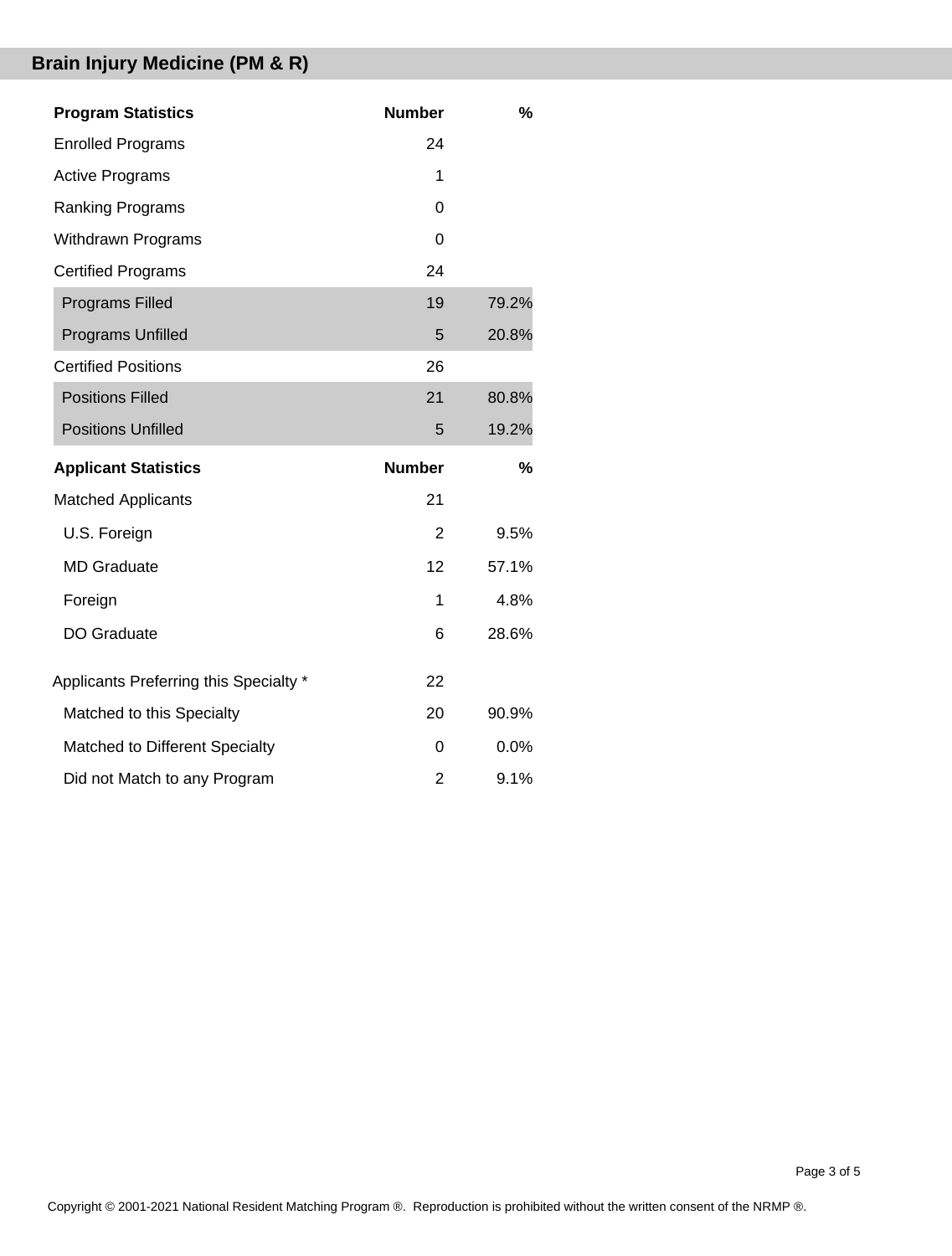# **Brain Injury Medicine (PM & R)**

| <b>Program Statistics</b>              | <b>Number</b>  | $\%$  |
|----------------------------------------|----------------|-------|
| <b>Enrolled Programs</b>               | 24             |       |
| <b>Active Programs</b>                 | 1              |       |
| <b>Ranking Programs</b>                | 0              |       |
| <b>Withdrawn Programs</b>              | 0              |       |
| <b>Certified Programs</b>              | 24             |       |
| <b>Programs Filled</b>                 | 19             | 79.2% |
| Programs Unfilled                      | 5              | 20.8% |
| <b>Certified Positions</b>             | 26             |       |
| <b>Positions Filled</b>                | 21             | 80.8% |
| <b>Positions Unfilled</b>              | 5              | 19.2% |
|                                        |                |       |
| <b>Applicant Statistics</b>            | <b>Number</b>  | $\%$  |
| <b>Matched Applicants</b>              | 21             |       |
| U.S. Foreign                           | $\overline{2}$ | 9.5%  |
| <b>MD</b> Graduate                     | 12             | 57.1% |
| Foreign                                | 1              | 4.8%  |
| <b>DO Graduate</b>                     | 6              | 28.6% |
| Applicants Preferring this Specialty * | 22             |       |
| Matched to this Specialty              | 20             | 90.9% |
| Matched to Different Specialty         | 0              | 0.0%  |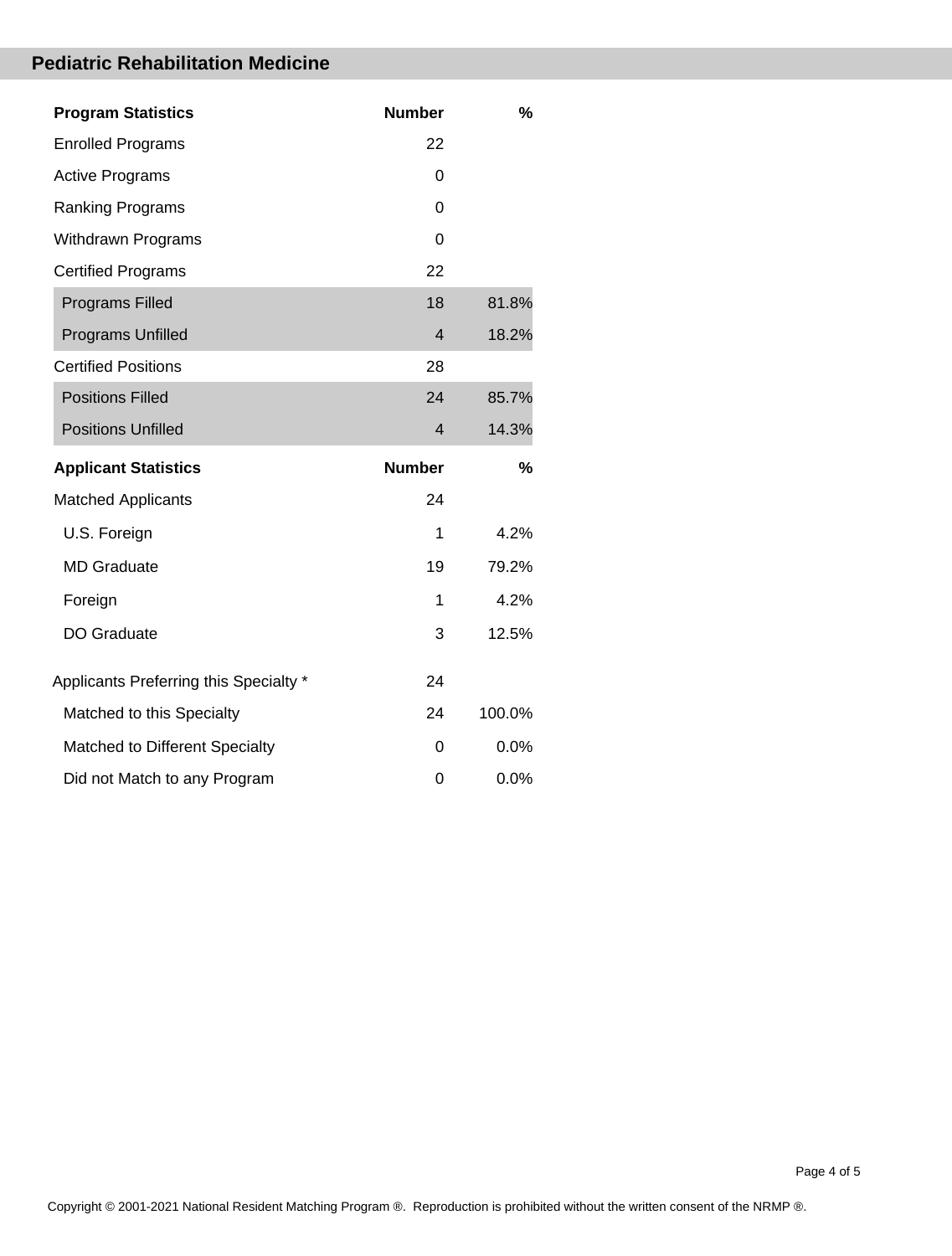### **Pediatric Rehabilitation Medicine**

| <b>Program Statistics</b>              | <b>Number</b>  | %       |
|----------------------------------------|----------------|---------|
| <b>Enrolled Programs</b>               | 22             |         |
| <b>Active Programs</b>                 | 0              |         |
| <b>Ranking Programs</b>                | 0              |         |
| Withdrawn Programs                     | $\Omega$       |         |
| <b>Certified Programs</b>              | 22             |         |
| <b>Programs Filled</b>                 | 18             | 81.8%   |
| <b>Programs Unfilled</b>               | $\overline{4}$ | 18.2%   |
| <b>Certified Positions</b>             | 28             |         |
| <b>Positions Filled</b>                | 24             | 85.7%   |
| <b>Positions Unfilled</b>              | $\overline{4}$ | 14.3%   |
|                                        |                |         |
| <b>Applicant Statistics</b>            | <b>Number</b>  | %       |
| <b>Matched Applicants</b>              | 24             |         |
| U.S. Foreign                           | 1              | 4.2%    |
| <b>MD</b> Graduate                     | 19             | 79.2%   |
| Foreign                                | 1              | 4.2%    |
| DO Graduate                            | 3              | 12.5%   |
| Applicants Preferring this Specialty * | 24             |         |
| Matched to this Specialty              | 24             | 100.0%  |
| Matched to Different Specialty         | 0              | $0.0\%$ |